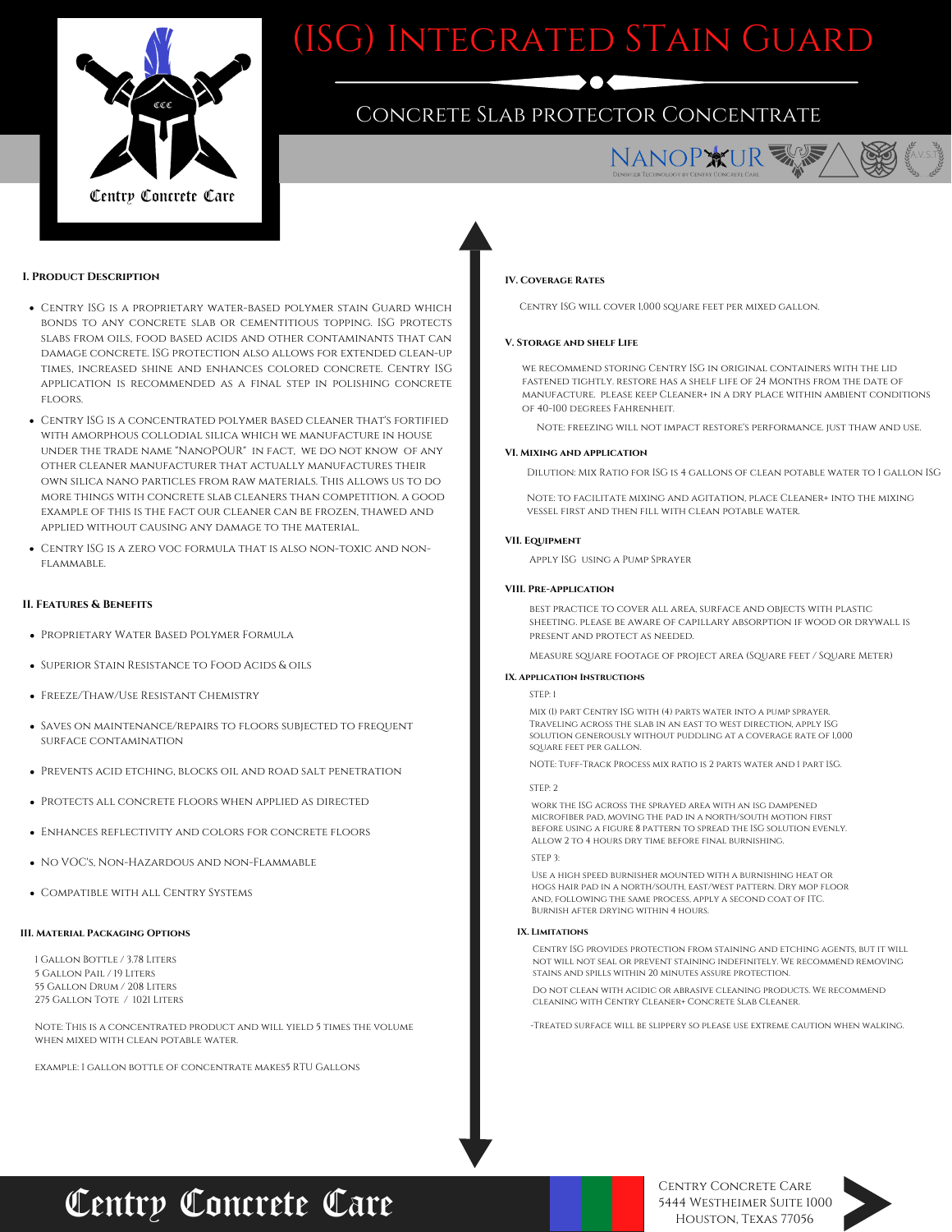

# (ISG) Integrated STain Guard

### Concrete Slab protector Concentrate



A.V.S.T.

### **I. Product Description**

- Centry ISG is a proprietary water-based polymer stain Guard which bonds to any concrete slab or cementitious topping. ISG protects slabs from oils, food based acids and other contaminants that can damage concrete. ISG protection also allows for extended clean-up times, increased shine and enhances colored concrete. Centry ISG application is recommended as a final step in polishing concrete floors.
- Centry ISG is a concentrated polymer based cleaner that's fortified with amorphous collodial silica which we manufacture in house under the trade name "NanoPOUR" in fact, we do not know of any other cleaner manufacturer that actually manufactures their own silica nano particles from raw materials. This allows us to do more things with concrete slab cleaners than competition. a good example of this is the fact our cleaner can be frozen, thawed and applied without causing any damage to the material.
- Centry ISG is a zero voc formula that is also non-toxic and nonflammable.

### **II. Features & Benefits**

- Proprietary Water Based Polymer Formula
- Superior Stain Resistance to Food Acids & oils
- Freeze/Thaw/Use Resistant Chemistry
- SAVES ON MAINTENANCE/REPAIRS TO FLOORS SUBJECTED TO FREQUENT surface contamination
- Prevents acid etching, blocks oil and road salt penetration
- Protects all concrete floors when applied as directed
- Enhances reflectivity and colors for concrete floors
- No VOC's, Non-Hazardous and non-Flammable
- **COMPATIBLE WITH ALL CENTRY SYSTEMS**

#### **III. Material Packaging Options**

 Gallon Bottle / 3.78 Liters Gallon Pail / 19 Liters Gallon Drum / 208 Liters Gallon Tote / 1021 Liters

Note: This is a concentrated product and will yield 5 times the volume when mixed with clean potable water.

example: 1 gallon bottle of concentrate makes5 RTU Gallons

### **IV. Coverage Rates**

Centry ISG will cover 1,000 square feet per mixed gallon.

### **V. Storage and shelf Life**

we recommend storing Centry ISG in original containers with the lid fastened tightly. restore has a shelf life of 24 Months from the date of manufacture. please keep Cleaner+ in a dry place within ambient conditions of 40-100 degrees Fahrenheit.

Note: freezing will not impact restore's performance. just thaw and use.

#### **VI. Mixing and application**

Dilution: Mix Ratio for ISG is 4 gallons of clean potable water to 1 gallon ISG

Note: to facilitate mixing and agitation, place Cleaner+ into the mixing vessel first and then fill with clean potable water.

### **VII. Equipment**

Apply ISG using a Pump Sprayer

### **VIII. Pre-Application**

best practice to cover all area, surface and objects with plastic sheeting. please be aware of capillary absorption if wood or drywall is present and protect as needed.

Measure square footage of project area (Square feet / Square Meter)

### **IX. Application Instructions**

STEP: 1

Mix (1) part Centry ISG with (4) parts water into a pump sprayer. Traveling across the slab in an east to west direction, apply ISG solution generously without puddling at a coverage rate of 1,000 square feet per gallon.

NOTE: Tuff-Track Process mix ratio is 2 parts water and 1 part ISG.

STEP: 2

work the ISG across the sprayed area with an isg dampened microfiber pad, moving the pad in a north/south motion first before using a figure 8 pattern to spread the ISG solution evenly. Allow 2 to 4 hours dry time before final burnishing.

STEP 3:

Use a high speed burnisher mounted with a burnishing heat or hogs hair pad in a north/south, east/west pattern. Dry mop floor and, following the same process, apply a second coat of ITC. Burnish after drying within 4 hours.

### **IX. Limitations**

Centry ISG provides protection from staining and etching agents, but it will not will not seal or prevent staining indefinitely. We recommend removing stains and spills within 20 minutes assure protection.

Do not clean with acidic or abrasive cleaning products. We recommend cleaning with Centry Cleaner+ Concrete Slab Cleaner.

-Treated surface will be slippery so please use extreme caution when walking.

## Centry Concrete Care

Centry Concrete Care 5444 Westheimer Suite 1000 Houston, Texas 77056